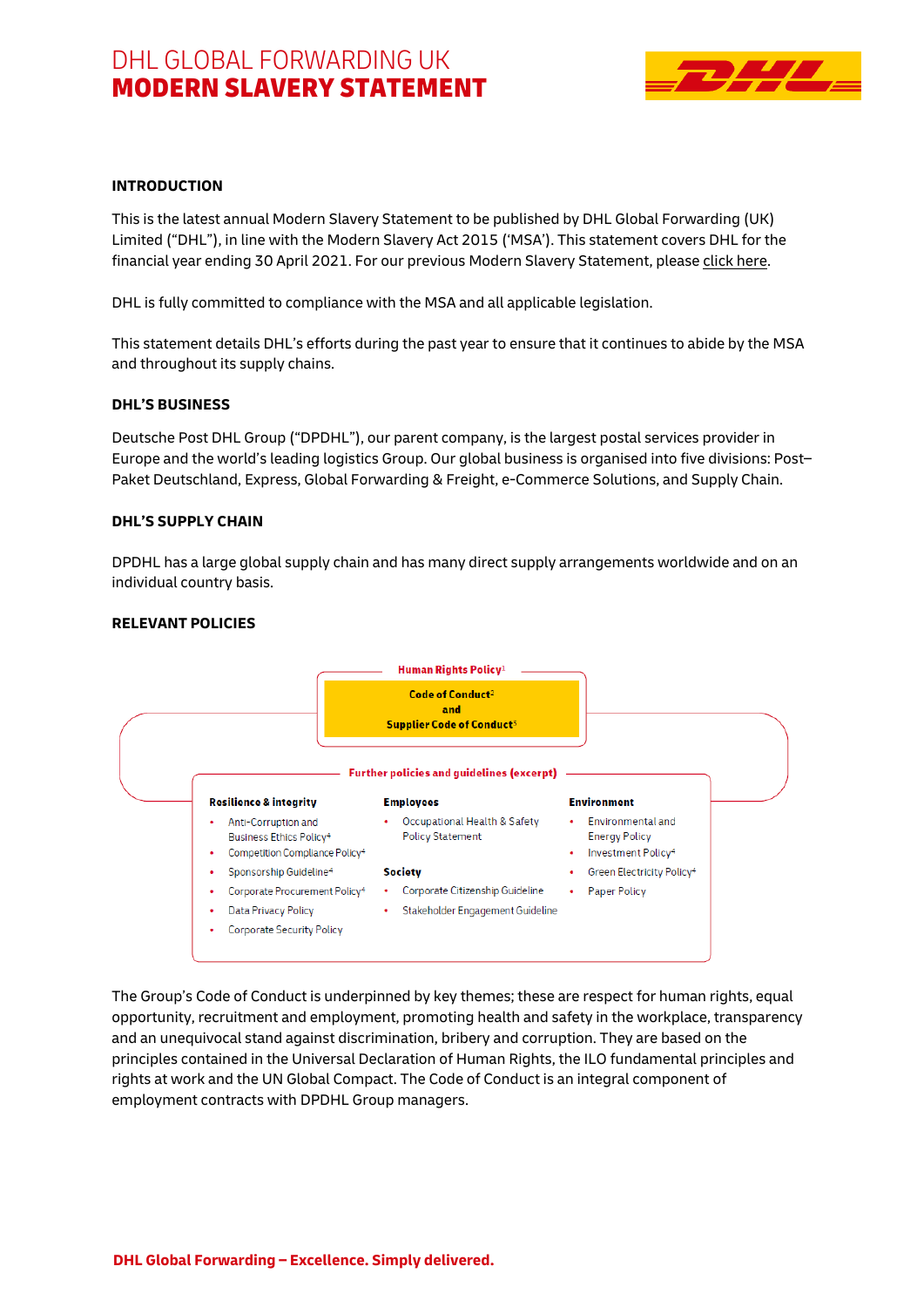# DHL GLOBAL FORWARDING UK MODERN SLAVERY STATEMENT



### **INTRODUCTION**

This is the latest annual Modern Slavery Statement to be published by DHL Global Forwarding (UK) Limited ("DHL"), in line with the Modern Slavery Act 2015 ('MSA'). This statement covers DHL for the financial year ending 30 April 2021. For our previous Modern Slavery Statement, please [click here.](https://www.dhl.com/content/dam/dhl/local/gb/core/documents/pdf/gb-core-dgf-modern-slavery-statement-2020.pdf)

DHL is fully committed to compliance with the MSA and all applicable legislation.

This statement details DHL's efforts during the past year to ensure that it continues to abide by the MSA and throughout its supply chains.

#### **DHL'S BUSINESS**

Deutsche Post DHL Group ("DPDHL"), our parent company, is the largest postal services provider in Europe and the world's leading logistics Group. Our global business is organised into five divisions: Post– Paket Deutschland, Express, Global Forwarding & Freight, e-Commerce Solutions, and Supply Chain.

#### **DHL'S SUPPLY CHAIN**

DPDHL has a large global supply chain and has many direct supply arrangements worldwide and on an individual country basis.



#### **RELEVANT POLICIES**

The Group's Code of Conduct is underpinned by key themes; these are respect for human rights, equal opportunity, recruitment and employment, promoting health and safety in the workplace, transparency and an unequivocal stand against discrimination, bribery and corruption. They are based on the principles contained in the Universal Declaration of Human Rights, the ILO fundamental principles and rights at work and the UN Global Compact. The Code of Conduct is an integral component of employment contracts with DPDHL Group managers.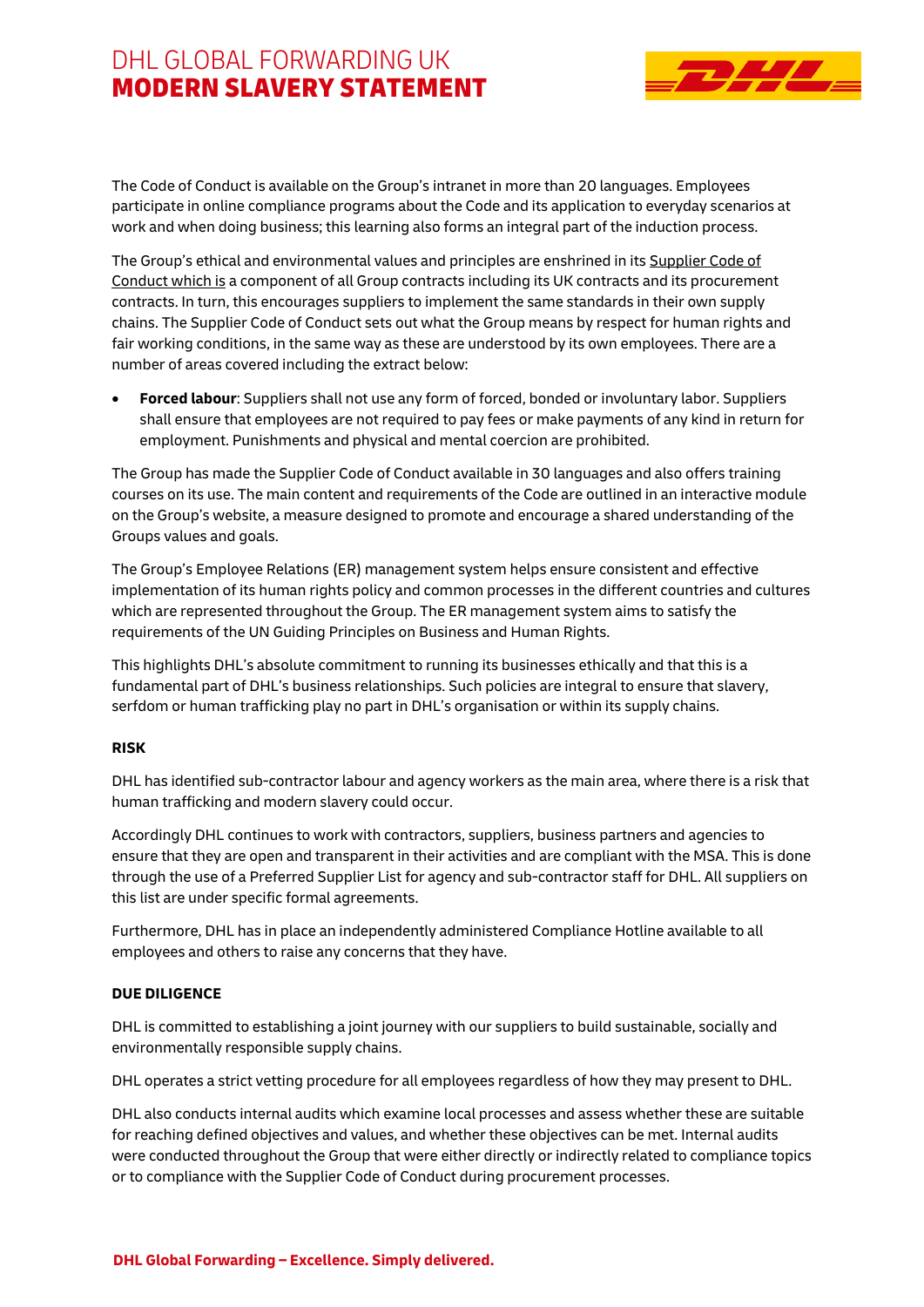# DHI GLOBAL FORWARDING UK MODERN SLAVERY STATEMENT



The Code of Conduct is available on the Group's intranet in more than 20 languages. Employees participate in online compliance programs about the Code and its application to everyday scenarios at work and when doing business; this learning also forms an integral part of the induction process.

The Group's ethical and environmental values and principles are enshrined in its [Supplier Code of](https://www.dpdhl.com/content/dam/dpdhl/en/media-center/responsibility/DPDHL_Supplier_Code_of_Conduct.pdf)  [Conduct w](https://www.dpdhl.com/content/dam/dpdhl/en/media-center/responsibility/DPDHL_Supplier_Code_of_Conduct.pdf)hich is a component of all Group contracts including its UK contracts and its procurement contracts. In turn, this encourages suppliers to implement the same standards in their own supply chains. The Supplier Code of Conduct sets out what the Group means by respect for human rights and fair working conditions, in the same way as these are understood by its own employees. There are a number of areas covered including the extract below:

 **Forced labour**: Suppliers shall not use any form of forced, bonded or involuntary labor. Suppliers shall ensure that employees are not required to pay fees or make payments of any kind in return for employment. Punishments and physical and mental coercion are prohibited.

The Group has made the Supplier Code of Conduct available in 30 languages and also offers training courses on its use. The main content and requirements of the Code are outlined in an interactive module on the Group's website, a measure designed to promote and encourage a shared understanding of the Groups values and goals.

The Group's Employee Relations (ER) management system helps ensure consistent and effective implementation of its human rights policy and common processes in the different countries and cultures which are represented throughout the Group. The ER management system aims to satisfy the requirements of the UN Guiding Principles on Business and Human Rights.

This highlights DHL's absolute commitment to running its businesses ethically and that this is a fundamental part of DHL's business relationships. Such policies are integral to ensure that slavery, serfdom or human trafficking play no part in DHL's organisation or within its supply chains.

## **RISK**

DHL has identified sub-contractor labour and agency workers as the main area, where there is a risk that human trafficking and modern slavery could occur.

Accordingly DHL continues to work with contractors, suppliers, business partners and agencies to ensure that they are open and transparent in their activities and are compliant with the MSA. This is done through the use of a Preferred Supplier List for agency and sub-contractor staff for DHL. All suppliers on this list are under specific formal agreements.

Furthermore, DHL has in place an independently administered Compliance Hotline available to all employees and others to raise any concerns that they have.

## **DUE DILIGENCE**

DHL is committed to establishing a joint journey with our suppliers to build sustainable, socially and environmentally responsible supply chains.

DHL operates a strict vetting procedure for all employees regardless of how they may present to DHL.

DHL also conducts internal audits which examine local processes and assess whether these are suitable for reaching defined objectives and values, and whether these objectives can be met. Internal audits were conducted throughout the Group that were either directly or indirectly related to compliance topics or to compliance with the Supplier Code of Conduct during procurement processes.